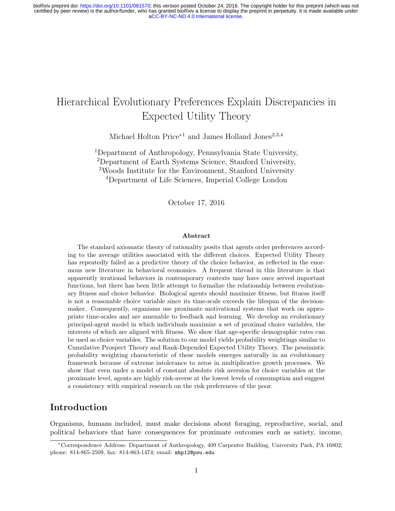# Hierarchical Evolutionary Preferences Explain Discrepancies in Expected Utility Theory

Michael Holton Price<sup>∗1</sup> and James Holland Jones<sup>2,3,4</sup>

Department of Anthropology, Pennsylvania State University, Department of Earth Systems Science, Stanford University, Woods Institute for the Environment, Stanford University Department of Life Sciences, Imperial College London

October 17, 2016

#### Abstract

The standard axiomatic theory of rationality posits that agents order preferences according to the average utilities associated with the different choices. Expected Utility Theory has repeatedly failed as a predictive theory of the choice behavior, as reflected in the enormous new literature in behavioral economics. A frequent thread in this literature is that apparently irrational behaviors in contemporary contexts may have once served important functions, but there has been little attempt to formalize the relationship between evolutionary fitness and choice behavior. Biological agents should maximize fitness, but fitness itself is not a reasonable choice variable since its time-scale exceeds the lifespan of the decisionmaker. Consequently, organisms use proximate motivational systems that work on appropriate time-scales and are amenable to feedback and learning. We develop an evolutionary principal-agent model in which individuals maximize a set of proximal choice variables, the interests of which are aligned with fitness. We show that age-specific demographic rates can be used as choice variables. The solution to our model yields probability weightings similar to Cumulative Prospect Theory and Rank-Depended Expected Utility Theory. The pessimistic probability weighting characteristic of these models emerges naturally in an evolutionary framework because of extreme intolerance to zeros in multiplicative growth processes. We show that even under a model of constant absolute risk aversion for choice variables at the proximate level, agents are highly risk-averse at the lowest levels of consumption and suggest a consistency with empirical research on the risk preferences of the poor.

## Introduction

Organisms, humans included, must make decisions about foraging, reproductive, social, and political behaviors that have consequences for proximate outcomes such as satiety, income,

<sup>∗</sup>Correspondence Address: Department of Anthropology, 409 Carpenter Building, University Park, PA 16802; phone: 814-865-2509, fax: 814-863-1474; email: mhp12@psu.edu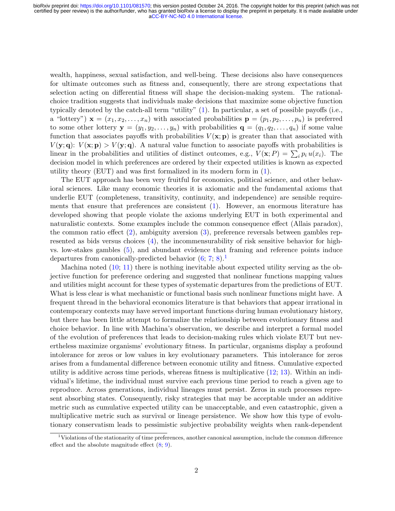wealth, happiness, sexual satisfaction, and well-being. These decisions also have consequences for ultimate outcomes such as fitness and, consequently, there are strong expectations that selection acting on differential fitness will shape the decision-making system. The rationalchoice tradition suggests that individuals make decisions that maximize some objective function typically denoted by the catch-all term "utility" [\(1\)](#page-8-0). In particular, a set of possible payoffs (i.e., a "lottery")  $\mathbf{x} = (x_1, x_2, \dots, x_n)$  with associated probabilities  $\mathbf{p} = (p_1, p_2, \dots, p_n)$  is preferred to some other lottery  $y = (y_1, y_2, \ldots, y_n)$  with probabilities  $q = (q_1, q_2, \ldots, q_n)$  if some value function that associates payoffs with probabilities  $V(\mathbf{x};\mathbf{p})$  is greater than that associated with  $V(\mathbf{y}; \mathbf{q})$ :  $V(\mathbf{x}; \mathbf{p}) > V(\mathbf{y}; \mathbf{q})$ . A natural value function to associate payoffs with probabilities is linear in the probabilities and utilities of distinct outcomes, e.g.,  $V(\mathbf{x}; P) = \sum_i p_i u(x_i)$ . The decision model in which preferences are ordered by their expected utilities is known as expected utility theory (EUT) and was first formalized in its modern form in [\(1\)](#page-8-0).

The EUT approach has been very fruitful for economics, political science, and other behavioral sciences. Like many economic theories it is axiomatic and the fundamental axioms that underlie EUT (completeness, transitivity, continuity, and independence) are sensible requirements that ensure that preferences are consistent  $(1)$ . However, an enormous literature has developed showing that people violate the axioms underlying EUT in both experimental and naturalistic contexts. Some examples include the common consequence effect (Allais paradox), the common ratio effect [\(2\)](#page-8-1), ambiguity aversion [\(3\)](#page-8-2), preference reversals between gambles represented as bids versus choices [\(4\)](#page-8-3), the incommensurability of risk sensitive behavior for highvs. low-stakes gambles [\(5\)](#page-8-4), and abundant evidence that framing and reference points induce departures from canonically-predicted behavior  $(6, 7, 8)$  $(6, 7, 8)$ .

Machina noted [\(10;](#page-8-8) [11\)](#page-8-9) there is nothing inevitable about expected utility serving as the objective function for preference ordering and suggested that nonlinear functions mapping values and utilities might account for these types of systematic departures from the predictions of EUT. What is less clear is what mechanistic or functional basis such nonlinear functions might have. A frequent thread in the behavioral economics literature is that behaviors that appear irrational in contemporary contexts may have served important functions during human evolutionary history, but there has been little attempt to formalize the relationship between evolutionary fitness and choice behavior. In line with Machina's observation, we describe and interpret a formal model of the evolution of preferences that leads to decision-making rules which violate EUT but nevertheless maximize organisms' evolutionary fitness. In particular, organisms display a profound intolerance for zeros or low values in key evolutionary parameters. This intolerance for zeros arises from a fundamental difference between economic utility and fitness. Cumulative expected utility is additive across time periods, whereas fitness is multiplicative [\(12;](#page-8-10) [13\)](#page-8-11). Within an individual's lifetime, the individual must survive each previous time period to reach a given age to reproduce. Across generations, individual lineages must persist. Zeros in such processes represent absorbing states. Consequently, risky strategies that may be acceptable under an additive metric such as cumulative expected utility can be unacceptable, and even catastrophic, given a multiplicative metric such as survival or lineage persistence. We show how this type of evolutionary conservatism leads to pessimistic subjective probability weights when rank-dependent

<span id="page-1-0"></span><sup>&</sup>lt;sup>1</sup>Violations of the stationarity of time preferences, another canonical assumption, include the common difference effect and the absolute magnitude effect [\(8;](#page-8-7) [9\)](#page-8-12).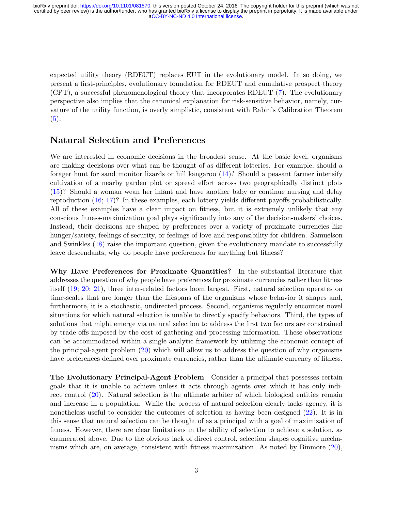expected utility theory (RDEUT) replaces EUT in the evolutionary model. In so doing, we present a first-principles, evolutionary foundation for RDEUT and cumulative prospect theory (CPT), a successful phenomenological theory that incorporates RDEUT [\(7\)](#page-8-6). The evolutionary perspective also implies that the canonical explanation for risk-sensitive behavior, namely, curvature of the utility function, is overly simplistic, consistent with Rabin's Calibration Theorem  $(5).$  $(5).$ 

### Natural Selection and Preferences

We are interested in economic decisions in the broadest sense. At the basic level, organisms are making decisions over what can be thought of as different lotteries. For example, should a forager hunt for sand monitor lizards or hill kangaroo [\(14\)](#page-8-13)? Should a peasant farmer intensify cultivation of a nearby garden plot or spread effort across two geographically distinct plots [\(15\)](#page-9-0)? Should a woman wean her infant and have another baby or continue nursing and delay reproduction [\(16;](#page-9-1) [17\)](#page-9-2)? In these examples, each lottery yields different payoffs probabilistically. All of these examples have a clear impact on fitness, but it is extremely unlikely that any conscious fitness-maximization goal plays significantly into any of the decision-makers' choices. Instead, their decisions are shaped by preferences over a variety of proximate currencies like hunger/satiety, feelings of security, or feelings of love and responsibility for children. Samuelson and Swinkles [\(18\)](#page-9-3) raise the important question, given the evolutionary mandate to successfully leave descendants, why do people have preferences for anything but fitness?

Why Have Preferences for Proximate Quantities? In the substantial literature that addresses the question of why people have preferences for proximate currencies rather than fitness itself [\(19;](#page-9-4) [20;](#page-9-5) [21\)](#page-9-6), three inter-related factors loom largest. First, natural selection operates on time-scales that are longer than the lifespans of the organisms whose behavior it shapes and, furthermore, it is a stochastic, undirected process. Second, organisms regularly encounter novel situations for which natural selection is unable to directly specify behaviors. Third, the types of solutions that might emerge via natural selection to address the first two factors are constrained by trade-offs imposed by the cost of gathering and processing information. These observations can be accommodated within a single analytic framework by utilizing the economic concept of the principal-agent problem [\(20\)](#page-9-5) which will allow us to address the question of why organisms have preferences defined over proximate currencies, rather than the ultimate currency of fitness.

The Evolutionary Principal-Agent Problem Consider a principal that possesses certain goals that it is unable to achieve unless it acts through agents over which it has only indirect control [\(20\)](#page-9-5). Natural selection is the ultimate arbiter of which biological entities remain and increase in a population. While the process of natural selection clearly lacks agency, it is nonetheless useful to consider the outcomes of selection as having been designed [\(22\)](#page-9-7). It is in this sense that natural selection can be thought of as a principal with a goal of maximization of fitness. However, there are clear limitations in the ability of selection to achieve a solution, as enumerated above. Due to the obvious lack of direct control, selection shapes cognitive mechanisms which are, on average, consistent with fitness maximization. As noted by Binmore [\(20\)](#page-9-5),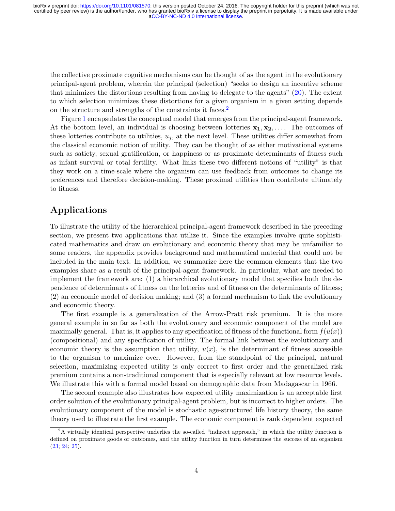the collective proximate cognitive mechanisms can be thought of as the agent in the evolutionary principal-agent problem, wherein the principal (selection) "seeks to design an incentive scheme that minimizes the distortions resulting from having to delegate to the agents" [\(20\)](#page-9-5). The extent to which selection minimizes these distortions for a given organism in a given setting depends on the structure and strengths of the constraints it faces.<sup>[2](#page-3-0)</sup>

Figure [1](#page-11-0) encapsulates the conceptual model that emerges from the principal-agent framework. At the bottom level, an individual is choosing between lotteries  $x_1, x_2, \ldots$ . The outcomes of these lotteries contribute to utilities,  $u_j$ , at the next level. These utilities differ somewhat from the classical economic notion of utility. They can be thought of as either motivational systems such as satiety, sexual gratification, or happiness or as proximate determinants of fitness such as infant survival or total fertility. What links these two different notions of "utility" is that they work on a time-scale where the organism can use feedback from outcomes to change its preferences and therefore decision-making. These proximal utilities then contribute ultimately to fitness.

## Applications

To illustrate the utility of the hierarchical principal-agent framework described in the preceding section, we present two applications that utilize it. Since the examples involve quite sophisticated mathematics and draw on evolutionary and economic theory that may be unfamiliar to some readers, the appendix provides background and mathematical material that could not be included in the main text. In addition, we summarize here the common elements that the two examples share as a result of the principal-agent framework. In particular, what are needed to implement the framework are: (1) a hierarchical evolutionary model that specifies both the dependence of determinants of fitness on the lotteries and of fitness on the determinants of fitness; (2) an economic model of decision making; and (3) a formal mechanism to link the evolutionary and economic theory.

The first example is a generalization of the Arrow-Pratt risk premium. It is the more general example in so far as both the evolutionary and economic component of the model are maximally general. That is, it applies to any specification of fitness of the functional form  $f(u(x))$ (compositional) and any specification of utility. The formal link between the evolutionary and economic theory is the assumption that utility,  $u(x)$ , is the determinant of fitness accessible to the organism to maximize over. However, from the standpoint of the principal, natural selection, maximizing expected utility is only correct to first order and the generalized risk premium contains a non-traditional component that is especially relevant at low resource levels. We illustrate this with a formal model based on demographic data from Madagascar in 1966.

The second example also illustrates how expected utility maximization is an acceptable first order solution of the evolutionary principal-agent problem, but is incorrect to higher orders. The evolutionary component of the model is stochastic age-structured life history theory, the same theory used to illustrate the first example. The economic component is rank dependent expected

<span id="page-3-0"></span><sup>&</sup>lt;sup>2</sup>A virtually identical perspective underlies the so-called "indirect approach," in which the utility function is defined on proximate goods or outcomes, and the utility function in turn determines the success of an organism [\(23;](#page-9-8) [24;](#page-9-9) [25\)](#page-9-10).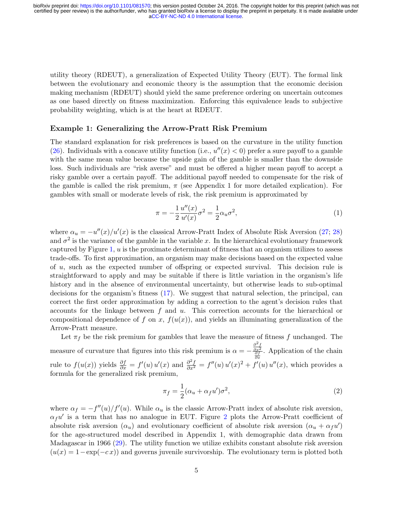utility theory (RDEUT), a generalization of Expected Utility Theory (EUT). The formal link between the evolutionary and economic theory is the assumption that the economic decision making mechanism (RDEUT) should yield the same preference ordering on uncertain outcomes as one based directly on fitness maximization. Enforcing this equivalence leads to subjective probability weighting, which is at the heart at RDEUT.

#### Example 1: Generalizing the Arrow-Pratt Risk Premium

The standard explanation for risk preferences is based on the curvature in the utility function [\(26\)](#page-9-11). Individuals with a concave utility function (i.e.,  $u''(x) < 0$ ) prefer a sure payoff to a gamble with the same mean value because the upside gain of the gamble is smaller than the downside loss. Such individuals are "risk averse" and must be offered a higher mean payoff to accept a risky gamble over a certain payoff. The additional payoff needed to compensate for the risk of the gamble is called the risk premium,  $\pi$  (see Appendix 1 for more detailed explication). For gambles with small or moderate levels of risk, the risk premium is approximated by

$$
\pi = -\frac{1}{2} \frac{u''(x)}{u'(x)} \sigma^2 = \frac{1}{2} \alpha_u \sigma^2,\tag{1}
$$

where  $\alpha_u = -u''(x)/u'(x)$  is the classical Arrow-Pratt Index of Absolute Risk Aversion [\(27;](#page-9-12) [28\)](#page-9-13) and  $\sigma^2$  is the variance of the gamble in the variable x. In the hierarchical evolutionary framework captured by Figure [1,](#page-11-0)  $u$  is the proximate determinant of fitness that an organism utilizes to assess trade-offs. To first approximation, an organism may make decisions based on the expected value of u, such as the expected number of offspring or expected survival. This decision rule is straightforward to apply and may be suitable if there is little variation in the organism's life history and in the absence of environmental uncertainty, but otherwise leads to sub-optimal decisions for the organism's fitness [\(17\)](#page-9-2). We suggest that natural selection, the principal, can correct the first order approximation by adding a correction to the agent's decision rules that accounts for the linkage between  $f$  and  $u$ . This correction accounts for the hierarchical or compositional dependence of f on x,  $f(u(x))$ , and yields an illuminating generalization of the Arrow-Pratt measure.

Let  $\pi_f$  be the risk premium for gambles that leave the measure of fitness f unchanged. The measure of curvature that figures into this risk premium is  $\alpha = -\frac{\frac{\partial^2 f}{\partial x^2}}{\frac{\partial f}{\partial x}}$ . Application of the chain rule to  $f(u(x))$  yields  $\frac{\partial f}{\partial x} = f'(u) u'(x)$  and  $\frac{\partial^2 f}{\partial x^2} = f''(u) u'(x)^2 + f'(u) u''(x)$ , which provides a formula for the generalized risk premium,

<span id="page-4-0"></span>
$$
\pi_f = \frac{1}{2} (\alpha_u + \alpha_f u') \sigma^2,\tag{2}
$$

where  $\alpha_f = -f''(u)/f'(u)$ . While  $\alpha_u$  is the classic Arrow-Pratt index of absolute risk aversion,  $\alpha_f u'$  is a term that has no analogue in EUT. Figure [2](#page-12-0) plots the Arrow-Pratt coefficient of absolute risk aversion  $(\alpha_u)$  and evolutionary coefficient of absolute risk aversion  $(\alpha_u + \alpha_f u')$ for the age-structured model described in Appendix 1, with demographic data drawn from Madagascar in 1966 [\(29\)](#page-9-14). The utility function we utilize exhibits constant absolute risk aversion  $(u(x)) = 1 - \exp(-cx)$  and governs juvenile survivorship. The evolutionary term is plotted both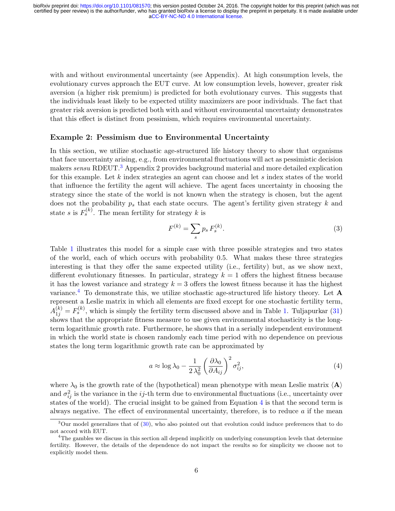with and without environmental uncertainty (see Appendix). At high consumption levels, the evolutionary curves approach the EUT curve. At low consumption levels, however, greater risk aversion (a higher risk premium) is predicted for both evolutionary curves. This suggests that the individuals least likely to be expected utility maximizers are poor individuals. The fact that greater risk aversion is predicted both with and without environmental uncertainty demonstrates that this effect is distinct from pessimism, which requires environmental uncertainty.

#### Example 2: Pessimism due to Environmental Uncertainty

In this section, we utilize stochastic age-structured life history theory to show that organisms that face uncertainty arising, e.g., from environmental fluctuations will act as pessimistic decision makers sensu RDEUT.<sup>[3](#page-5-0)</sup> Appendix 2 provides background material and more detailed explication for this example. Let  $k$  index strategies an agent can choose and let  $s$  index states of the world that influence the fertility the agent will achieve. The agent faces uncertainty in choosing the strategy since the state of the world is not known when the strategy is chosen, but the agent does not the probability  $p_s$  that each state occurs. The agent's fertility given strategy k and state s is  $F_s^{(k)}$ . The mean fertility for strategy k is

$$
F^{(k)} = \sum_{s} p_s F_s^{(k)}.
$$
\n(3)

Table [1](#page-13-0) illustrates this model for a simple case with three possible strategies and two states of the world, each of which occurs with probability 0.5. What makes these three strategies interesting is that they offer the same expected utility (i.e., fertility) but, as we show next, different evolutionary fitnesses. In particular, strategy  $k = 1$  offers the highest fitness because it has the lowest variance and strategy  $k = 3$  offers the lowest fitness because it has the highest variance.<sup>[4](#page-5-1)</sup> To demonstrate this, we utilize stochastic age-structured life history theory. Let  $A$ represent a Leslie matrix in which all elements are fixed except for one stochastic fertility term,  $A_{1j}^{(k)} = F_s^{(k)}$ , which is simply the fertility term discussed above and in Table [1.](#page-13-0) Tuljapurkar [\(31\)](#page-10-0) shows that the appropriate fitness measure to use given environmental stochasticity is the longterm logarithmic growth rate. Furthermore, he shows that in a serially independent environment in which the world state is chosen randomly each time period with no dependence on previous states the long term logarithmic growth rate can be approximated by

<span id="page-5-2"></span>
$$
a \approx \log \lambda_0 - \frac{1}{2\lambda_0^2} \left(\frac{\partial \lambda_0}{\partial A_{ij}}\right)^2 \sigma_{ij}^2,
$$
\n(4)

where  $\lambda_0$  is the growth rate of the (hypothetical) mean phenotype with mean Leslie matrix  $\langle \mathbf{A} \rangle$ and  $\sigma_{ij}^2$  is the variance in the ij-th term due to environmental fluctuations (i.e., uncertainty over states of the world). The crucial insight to be gained from Equation [4](#page-5-2) is that the second term is always negative. The effect of environmental uncertainty, therefore, is to reduce  $a$  if the mean

<span id="page-5-0"></span> $3$ Our model generalizes that of [\(30\)](#page-9-15), who also pointed out that evolution could induce preferences that to do not accord with EUT.

<span id="page-5-1"></span><sup>&</sup>lt;sup>4</sup>The gambles we discuss in this section all depend implicitly on underlying consumption levels that determine fertility. However, the details of the dependence do not impact the results so for simplicity we choose not to explicitly model them.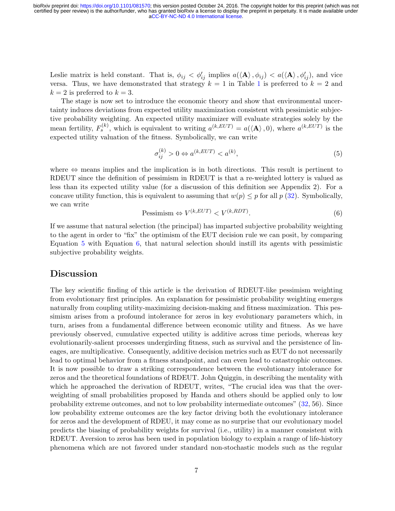Leslie matrix is held constant. That is,  $\phi_{ij} < \phi'_{ij}$  implies  $a(\langle \mathbf{A} \rangle, \phi_{ij}) < a(\langle \mathbf{A} \rangle, \phi'_{ij})$ , and vice versa. Thus, we have demonstrated that strategy  $k = 1$  $k = 1$  in Table 1 is preferred to  $k = 2$  and  $k = 2$  is preferred to  $k = 3$ .

The stage is now set to introduce the economic theory and show that environmental uncertainty induces deviations from expected utility maximization consistent with pessimistic subjective probability weighting. An expected utility maximizer will evaluate strategies solely by the mean fertility,  $F_s^{(k)}$ , which is equivalent to writing  $a^{(k, EUT)} = a(\langle \mathbf{A} \rangle, 0)$ , where  $a^{(k, EUT)}$  is the expected utility valuation of the fitness. Symbolically, we can write

<span id="page-6-0"></span>
$$
\sigma_{ij}^{(k)} > 0 \Leftrightarrow a^{(k, EUT)} < a^{(k)},\tag{5}
$$

where  $\Leftrightarrow$  means implies and the implication is in both directions. This result is pertinent to RDEUT since the definition of pessimism in RDEUT is that a re-weighted lottery is valued as less than its expected utility value (for a discussion of this definition see Appendix 2). For a concave utility function, this is equivalent to assuming that  $w(p) \leq p$  for all  $p$  [\(32\)](#page-10-1). Symbolically, we can write

$$
P \text{essimism} \Leftrightarrow V^{(k, EUT)} < V^{(k, RDT)}.\tag{6}
$$

<span id="page-6-1"></span>If we assume that natural selection (the principal) has imparted subjective probability weighting to the agent in order to "fix" the optimism of the EUT decision rule we can posit, by comparing Equation [5](#page-6-0) with Equation [6,](#page-6-1) that natural selection should instill its agents with pessimistic subjective probability weights.

#### Discussion

The key scientific finding of this article is the derivation of RDEUT-like pessimism weighting from evolutionary first principles. An explanation for pessimistic probability weighting emerges naturally from coupling utility-maximizing decision-making and fitness maximization. This pessimism arises from a profound intolerance for zeros in key evolutionary parameters which, in turn, arises from a fundamental difference between economic utility and fitness. As we have previously observed, cumulative expected utility is additive across time periods, whereas key evolutionarily-salient processes undergirding fitness, such as survival and the persistence of lineages, are multiplicative. Consequently, additive decision metrics such as EUT do not necessarily lead to optimal behavior from a fitness standpoint, and can even lead to catastrophic outcomes. It is now possible to draw a striking correspondence between the evolutionary intolerance for zeros and the theoretical foundations of RDEUT. John Quiggin, in describing the mentality with which he approached the derivation of RDEUT, writes, "The crucial idea was that the overweighting of small probabilities proposed by Handa and others should be applied only to low probability extreme outcomes, and not to low probability intermediate outcomes" [\(32,](#page-10-1) 56). Since low probability extreme outcomes are the key factor driving both the evolutionary intolerance for zeros and the development of RDEU, it may come as no surprise that our evolutionary model predicts the biasing of probability weights for survival (i.e., utility) in a manner consistent with RDEUT. Aversion to zeros has been used in population biology to explain a range of life-history phenomena which are not favored under standard non-stochastic models such as the regular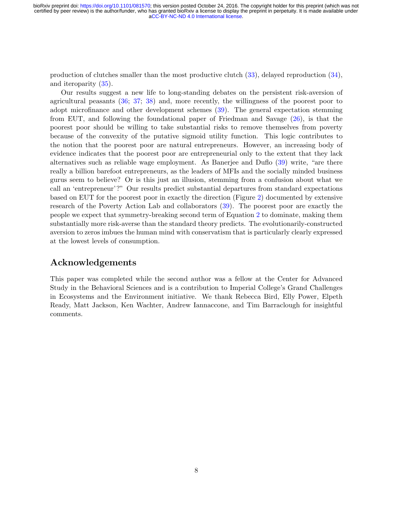production of clutches smaller than the most productive clutch [\(33\)](#page-10-2), delayed reproduction [\(34\)](#page-10-3), and iteroparity [\(35\)](#page-10-4).

Our results suggest a new life to long-standing debates on the persistent risk-aversion of agricultural peasants [\(36;](#page-10-5) [37;](#page-10-6) [38\)](#page-10-7) and, more recently, the willingness of the poorest poor to adopt microfinance and other development schemes [\(39\)](#page-10-8). The general expectation stemming from EUT, and following the foundational paper of Friedman and Savage [\(26\)](#page-9-11), is that the poorest poor should be willing to take substantial risks to remove themselves from poverty because of the convexity of the putative sigmoid utility function. This logic contributes to the notion that the poorest poor are natural entrepreneurs. However, an increasing body of evidence indicates that the poorest poor are entrepreneurial only to the extent that they lack alternatives such as reliable wage employment. As Banerjee and Duflo [\(39\)](#page-10-8) write, "are there really a billion barefoot entrepreneurs, as the leaders of MFIs and the socially minded business gurus seem to believe? Or is this just an illusion, stemming from a confusion about what we call an 'entrepreneur'?" Our results predict substantial departures from standard expectations based on EUT for the poorest poor in exactly the direction (Figure [2\)](#page-12-0) documented by extensive research of the Poverty Action Lab and collaborators [\(39\)](#page-10-8). The poorest poor are exactly the people we expect that symmetry-breaking second term of Equation [2](#page-4-0) to dominate, making them substantially more risk-averse than the standard theory predicts. The evolutionarily-constructed aversion to zeros imbues the human mind with conservatism that is particularly clearly expressed at the lowest levels of consumption.

## Acknowledgements

This paper was completed while the second author was a fellow at the Center for Advanced Study in the Behavioral Sciences and is a contribution to Imperial College's Grand Challenges in Ecosystems and the Environment initiative. We thank Rebecca Bird, Elly Power, Elpeth Ready, Matt Jackson, Ken Wachter, Andrew Iannaccone, and Tim Barraclough for insightful comments.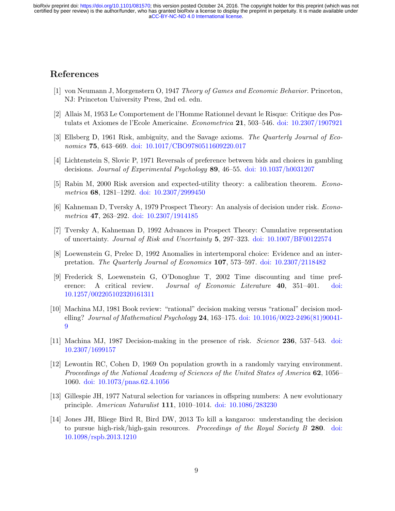## References

- <span id="page-8-0"></span>[1] von Neumann J, Morgenstern O, 1947 Theory of Games and Economic Behavior. Princeton, NJ: Princeton University Press, 2nd ed. edn.
- <span id="page-8-1"></span>[2] Allais M, 1953 Le Comportement de l'Homme Rationnel devant le Risque: Critique des Postulats et Axiomes de l'Ecole Americaine. Econometrica 21, 503–546. [doi: 10.2307/1907921](http://dx.doi.org/10.2307/1907921)
- <span id="page-8-2"></span>[3] Ellsberg D, 1961 Risk, ambiguity, and the Savage axioms. The Quarterly Journal of Economics 75, 643–669. [doi: 10.1017/CBO9780511609220.017](http://dx.doi.org/10.1017/CBO9780511609220.017)
- <span id="page-8-3"></span>[4] Lichtenstein S, Slovic P, 1971 Reversals of preference between bids and choices in gambling decisions. Journal of Experimental Psychology 89, 46–55. [doi: 10.1037/h0031207](http://dx.doi.org/10.1037/h0031207)
- <span id="page-8-4"></span>[5] Rabin M, 2000 Risk aversion and expected-utility theory: a calibration theorem. Econometrica 68, 1281–1292. [doi: 10.2307/2999450](http://dx.doi.org/10.2307/2999450)
- <span id="page-8-5"></span>[6] Kahneman D, Tversky A, 1979 Prospect Theory: An analysis of decision under risk. Econometrica 47, 263–292. [doi: 10.2307/1914185](http://dx.doi.org/10.2307/1914185)
- <span id="page-8-6"></span>[7] Tversky A, Kahneman D, 1992 Advances in Prospect Theory: Cumulative representation of uncertainty. Journal of Risk and Uncertainty 5, 297–323. [doi: 10.1007/BF00122574](http://dx.doi.org/10.1007/BF00122574)
- <span id="page-8-7"></span>[8] Loewenstein G, Prelec D, 1992 Anomalies in intertemporal choice: Evidence and an interpretation. The Quarterly Journal of Economics 107, 573–597. [doi: 10.2307/2118482](http://dx.doi.org/10.2307/2118482)
- <span id="page-8-12"></span>[9] Frederick S, Loewenstein G, O'Donoghue T, 2002 Time discounting and time preference: A critical review. Journal of Economic Literature 40, 351–401. [doi:](http://dx.doi.org/10.1257/002205102320161311) [10.1257/002205102320161311](http://dx.doi.org/10.1257/002205102320161311)
- <span id="page-8-8"></span>[10] Machina MJ, 1981 Book review: "rational" decision making versus "rational" decision modelling? Journal of Mathematical Psychology 24, 163–175. doi:  $10.1016/0022-2496(81)90041-$ [9](http://dx.doi.org/10.1016/0022-2496(81)90041-9)
- <span id="page-8-9"></span>[11] Machina MJ, 1987 Decision-making in the presence of risk. Science 236, 537–543. [doi:](http://dx.doi.org/10.2307/1699157) [10.2307/1699157](http://dx.doi.org/10.2307/1699157)
- <span id="page-8-10"></span>[12] Lewontin RC, Cohen D, 1969 On population growth in a randomly varying environment. Proceedings of the National Academy of Sciences of the United States of America 62, 1056– 1060. [doi: 10.1073/pnas.62.4.1056](http://dx.doi.org/10.1073/pnas.62.4.1056)
- <span id="page-8-11"></span>[13] Gillespie JH, 1977 Natural selection for variances in offspring numbers: A new evolutionary principle. American Naturalist 111, 1010–1014. [doi: 10.1086/283230](http://dx.doi.org/10.1086/283230)
- <span id="page-8-13"></span>[14] Jones JH, Bliege Bird R, Bird DW, 2013 To kill a kangaroo: understanding the decision to pursue high-risk/high-gain resources. Proceedings of the Royal Society B 280. [doi:](http://dx.doi.org/10.1098/rspb.2013.1210) [10.1098/rspb.2013.1210](http://dx.doi.org/10.1098/rspb.2013.1210)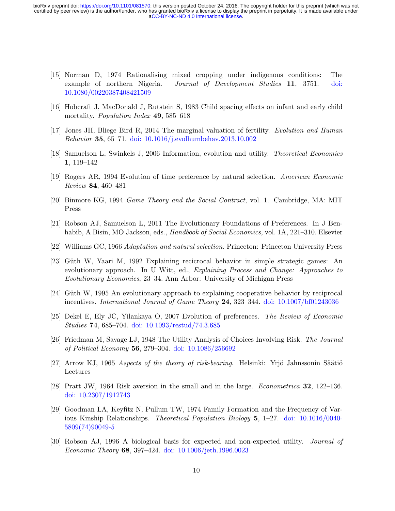- <span id="page-9-0"></span>[15] Norman D, 1974 Rationalising mixed cropping under indigenous conditions: The example of northern Nigeria. *Journal of Development Studies* 11, 3751. [doi:](http://dx.doi.org/10.1080/00220387408421509) [10.1080/00220387408421509](http://dx.doi.org/10.1080/00220387408421509)
- <span id="page-9-1"></span>[16] Hobcraft J, MacDonald J, Rutstein S, 1983 Child spacing effects on infant and early child mortality. *Population Index* 49, 585–618
- <span id="page-9-2"></span>[17] Jones JH, Bliege Bird R, 2014 The marginal valuation of fertility. Evolution and Human Behavior 35, 65–71. [doi: 10.1016/j.evolhumbehav.2013.10.002](http://dx.doi.org/10.1016/j.evolhumbehav.2013.10.002)
- <span id="page-9-3"></span>[18] Samuelson L, Swinkels J, 2006 Information, evolution and utility. Theoretical Economics 1, 119–142
- <span id="page-9-4"></span>[19] Rogers AR, 1994 Evolution of time preference by natural selection. American Economic Review 84, 460–481
- <span id="page-9-5"></span>[20] Binmore KG, 1994 Game Theory and the Social Contract, vol. 1. Cambridge, MA: MIT Press
- <span id="page-9-6"></span>[21] Robson AJ, Samuelson L, 2011 The Evolutionary Foundations of Preferences. In J Benhabib, A Bisin, MO Jackson, eds., *Handbook of Social Economics*, vol. 1A, 221–310. Elsevier
- <span id="page-9-7"></span>[22] Williams GC, 1966 Adaptation and natural selection. Princeton: Princeton University Press
- <span id="page-9-8"></span>[23] Güth W, Yaari M, 1992 Explaining recicrocal behavior in simple strategic games: An evolutionary approach. In U Witt, ed., Explaining Process and Change: Approaches to Evolutionary Economics, 23–34. Ann Arbor: University of Michigan Press
- <span id="page-9-9"></span>[24] Güth W, 1995 An evolutionary approach to explaining cooperative behavior by reciprocal incentives. International Journal of Game Theory 24, 323–344. [doi: 10.1007/bf01243036](http://dx.doi.org/10.1007/bf01243036)
- <span id="page-9-10"></span>[25] Dekel E, Ely JC, Yilankaya O, 2007 Evolution of preferences. The Review of Economic Studies 74, 685–704. [doi: 10.1093/restud/74.3.685](http://dx.doi.org/10.1093/restud/74.3.685)
- <span id="page-9-11"></span>[26] Friedman M, Savage LJ, 1948 The Utility Analysis of Choices Involving Risk. The Journal of Political Economy 56, 279–304. [doi: 10.1086/256692](http://dx.doi.org/10.1086/256692)
- <span id="page-9-12"></span> $[27]$  Arrow KJ, 1965 Aspects of the theory of risk-bearing. Helsinki: Yrjö Jahnssonin Säätiö Lectures
- <span id="page-9-13"></span>[28] Pratt JW, 1964 Risk aversion in the small and in the large. Econometrica 32, 122–136. [doi: 10.2307/1912743](http://dx.doi.org/10.2307/1912743)
- <span id="page-9-14"></span>[29] Goodman LA, Keyfitz N, Pullum TW, 1974 Family Formation and the Frequency of Various Kinship Relationships. Theoretical Population Biology 5, 1–27. [doi: 10.1016/0040-](http://dx.doi.org/10.1016/0040-5809(74)90049-5) [5809\(74\)90049-5](http://dx.doi.org/10.1016/0040-5809(74)90049-5)
- <span id="page-9-15"></span>[30] Robson AJ, 1996 A biological basis for expected and non-expected utility. Journal of Economic Theory 68, 397–424. [doi: 10.1006/jeth.1996.0023](http://dx.doi.org/10.1006/jeth.1996.0023)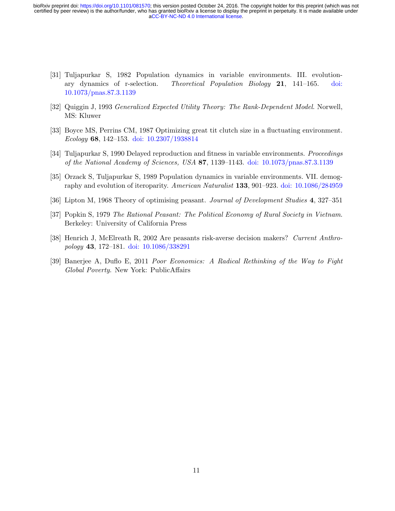- <span id="page-10-0"></span>[31] Tuljapurkar S, 1982 Population dynamics in variable environments. III. evolutionary dynamics of r-selection. Theoretical Population Biology 21, 141–165. [doi:](http://dx.doi.org/10.1073/pnas.87.3.1139) [10.1073/pnas.87.3.1139](http://dx.doi.org/10.1073/pnas.87.3.1139)
- <span id="page-10-1"></span>[32] Quiggin J, 1993 Generalized Expected Utility Theory: The Rank-Dependent Model. Norwell, MS: Kluwer
- <span id="page-10-2"></span>[33] Boyce MS, Perrins CM, 1987 Optimizing great tit clutch size in a fluctuating environment. Ecology 68, 142–153. [doi: 10.2307/1938814](http://dx.doi.org/10.2307/1938814)
- <span id="page-10-3"></span>[34] Tuljapurkar S, 1990 Delayed reproduction and fitness in variable environments. Proceedings of the National Academy of Sciences, USA 87, 1139–1143. [doi: 10.1073/pnas.87.3.1139](http://dx.doi.org/10.1073/pnas.87.3.1139)
- <span id="page-10-4"></span>[35] Orzack S, Tuljapurkar S, 1989 Population dynamics in variable environments. VII. demography and evolution of iteroparity. American Naturalist 133, 901–923. [doi: 10.1086/284959](http://dx.doi.org/10.1086/284959)
- <span id="page-10-5"></span>[36] Lipton M, 1968 Theory of optimising peasant. Journal of Development Studies 4, 327–351
- <span id="page-10-6"></span>[37] Popkin S, 1979 The Rational Peasant: The Political Economy of Rural Society in Vietnam. Berkeley: University of California Press
- <span id="page-10-7"></span>[38] Henrich J, McElreath R, 2002 Are peasants risk-averse decision makers? Current Anthropology 43, 172–181. [doi: 10.1086/338291](http://dx.doi.org/10.1086/338291)
- <span id="page-10-8"></span>[39] Banerjee A, Duflo E, 2011 Poor Economics: A Radical Rethinking of the Way to Fight Global Poverty. New York: PublicAffairs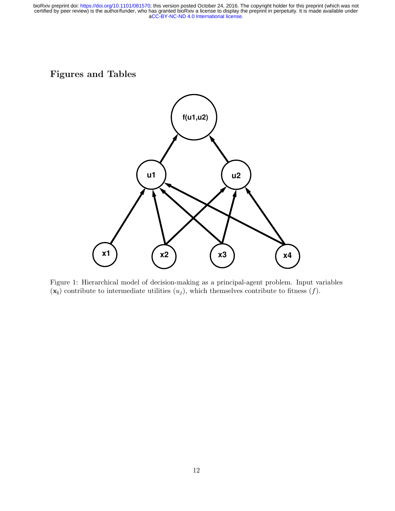## Figures and Tables



<span id="page-11-0"></span>Figure 1: Hierarchical model of decision-making as a principal-agent problem. Input variables  $(x_i)$  contribute to intermediate utilities  $(u_j)$ , which themselves contribute to fitness  $(f)$ .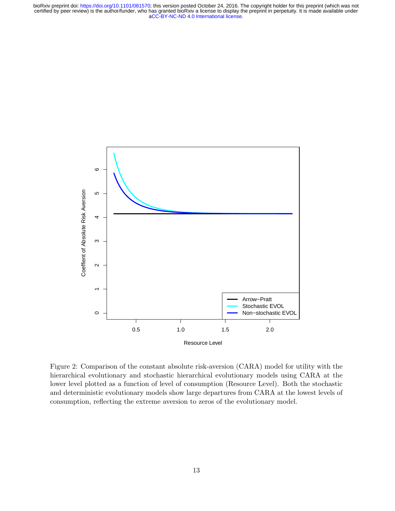

<span id="page-12-0"></span>Figure 2: Comparison of the constant absolute risk-aversion (CARA) model for utility with the hierarchical evolutionary and stochastic hierarchical evolutionary models using CARA at the lower level plotted as a function of level of consumption (Resource Level). Both the stochastic and deterministic evolutionary models show large departures from CARA at the lowest levels of consumption, reflecting the extreme aversion to zeros of the evolutionary model.